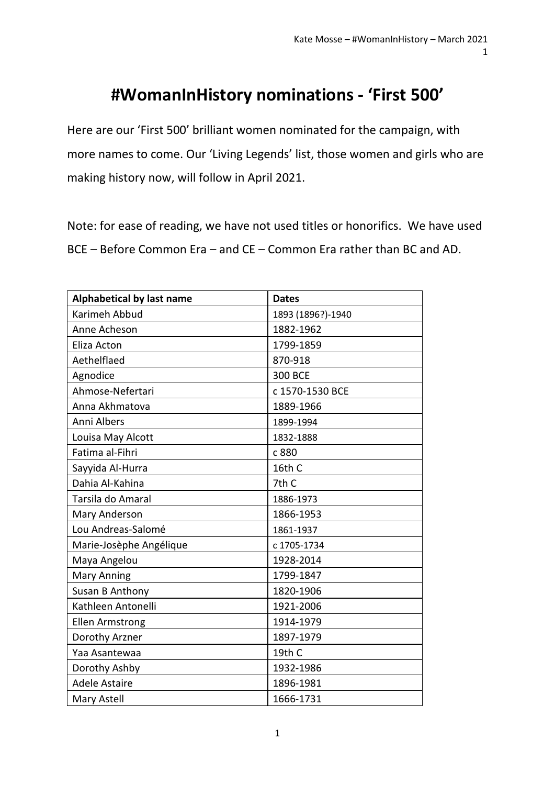## **#WomanInHistory nominations - 'First 500'**

Here are our 'First 500' brilliant women nominated for the campaign, with more names to come. Our 'Living Legends' list, those women and girls who are making history now, will follow in April 2021.

Note: for ease of reading, we have not used titles or honorifics. We have used BCE – Before Common Era – and CE – Common Era rather than BC and AD.

| <b>Alphabetical by last name</b> | <b>Dates</b>      |
|----------------------------------|-------------------|
| Karimeh Abbud                    | 1893 (1896?)-1940 |
| Anne Acheson                     | 1882-1962         |
| Eliza Acton                      | 1799-1859         |
| Aethelflaed                      | 870-918           |
| Agnodice                         | <b>300 BCE</b>    |
| Ahmose-Nefertari                 | c 1570-1530 BCE   |
| Anna Akhmatova                   | 1889-1966         |
| Anni Albers                      | 1899-1994         |
| Louisa May Alcott                | 1832-1888         |
| Fatima al-Fihri                  | c 880             |
| Sayyida Al-Hurra                 | 16th C            |
| Dahia Al-Kahina                  | 7th C             |
| Tarsila do Amaral                | 1886-1973         |
| Mary Anderson                    | 1866-1953         |
| Lou Andreas-Salomé               | 1861-1937         |
| Marie-Josèphe Angélique          | c 1705-1734       |
| Maya Angelou                     | 1928-2014         |
| <b>Mary Anning</b>               | 1799-1847         |
| Susan B Anthony                  | 1820-1906         |
| Kathleen Antonelli               | 1921-2006         |
| <b>Ellen Armstrong</b>           | 1914-1979         |
| Dorothy Arzner                   | 1897-1979         |
| Yaa Asantewaa                    | 19th C            |
| Dorothy Ashby                    | 1932-1986         |
| <b>Adele Astaire</b>             | 1896-1981         |
| Mary Astell                      | 1666-1731         |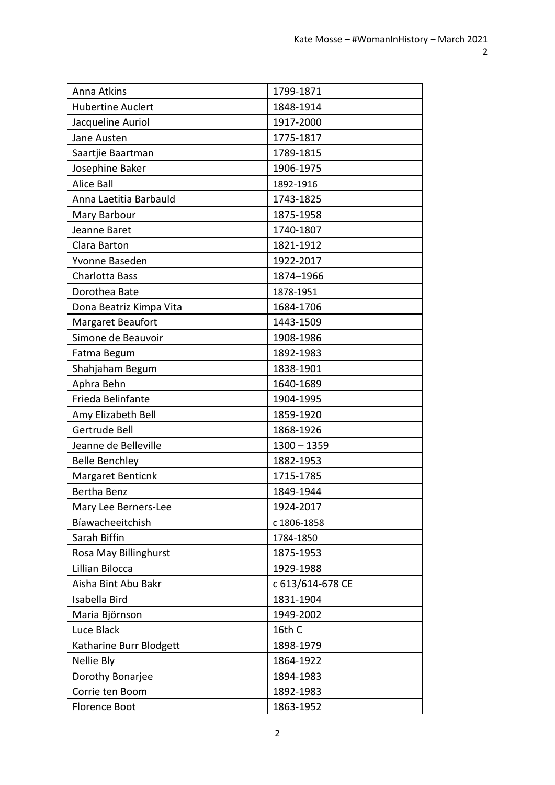| Anna Atkins              | 1799-1871        |
|--------------------------|------------------|
| <b>Hubertine Auclert</b> | 1848-1914        |
| Jacqueline Auriol        | 1917-2000        |
| Jane Austen              | 1775-1817        |
| Saartjie Baartman        | 1789-1815        |
| Josephine Baker          | 1906-1975        |
| <b>Alice Ball</b>        | 1892-1916        |
| Anna Laetitia Barbauld   | 1743-1825        |
| Mary Barbour             | 1875-1958        |
| Jeanne Baret             | 1740-1807        |
| Clara Barton             | 1821-1912        |
| Yvonne Baseden           | 1922-2017        |
| Charlotta Bass           | 1874-1966        |
| Dorothea Bate            | 1878-1951        |
| Dona Beatriz Kimpa Vita  | 1684-1706        |
| Margaret Beaufort        | 1443-1509        |
| Simone de Beauvoir       | 1908-1986        |
| Fatma Begum              | 1892-1983        |
| Shahjaham Begum          | 1838-1901        |
| Aphra Behn               | 1640-1689        |
| Frieda Belinfante        | 1904-1995        |
| Amy Elizabeth Bell       | 1859-1920        |
| Gertrude Bell            | 1868-1926        |
| Jeanne de Belleville     | $1300 - 1359$    |
| <b>Belle Benchley</b>    | 1882-1953        |
| Margaret Benticnk        | 1715-1785        |
| <b>Bertha Benz</b>       | 1849-1944        |
| Mary Lee Berners-Lee     | 1924-2017        |
| Bíawacheeitchish         | c 1806-1858      |
| Sarah Biffin             | 1784-1850        |
| Rosa May Billinghurst    | 1875-1953        |
| Lillian Bilocca          | 1929-1988        |
| Aisha Bint Abu Bakr      | c 613/614-678 CE |
| Isabella Bird            | 1831-1904        |
| Maria Björnson           | 1949-2002        |
| Luce Black               | 16th C           |
| Katharine Burr Blodgett  | 1898-1979        |
| Nellie Bly               | 1864-1922        |
| Dorothy Bonarjee         | 1894-1983        |
| Corrie ten Boom          | 1892-1983        |
| <b>Florence Boot</b>     | 1863-1952        |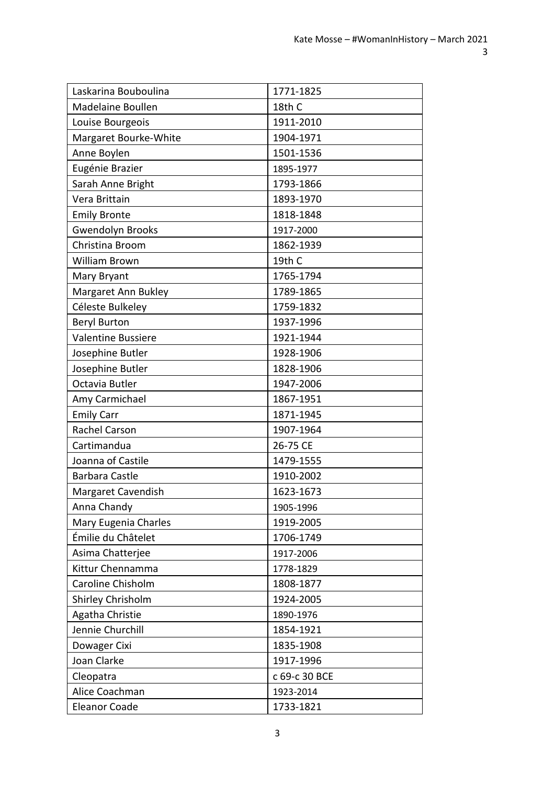| Laskarina Bouboulina      | 1771-1825     |
|---------------------------|---------------|
| <b>Madelaine Boullen</b>  | 18th C        |
| Louise Bourgeois          | 1911-2010     |
| Margaret Bourke-White     | 1904-1971     |
| Anne Boylen               | 1501-1536     |
| Eugénie Brazier           | 1895-1977     |
| Sarah Anne Bright         | 1793-1866     |
| Vera Brittain             | 1893-1970     |
| <b>Emily Bronte</b>       | 1818-1848     |
| <b>Gwendolyn Brooks</b>   | 1917-2000     |
| Christina Broom           | 1862-1939     |
| <b>William Brown</b>      | 19th C        |
| Mary Bryant               | 1765-1794     |
| Margaret Ann Bukley       | 1789-1865     |
| Céleste Bulkeley          | 1759-1832     |
| <b>Beryl Burton</b>       | 1937-1996     |
| <b>Valentine Bussiere</b> | 1921-1944     |
| Josephine Butler          | 1928-1906     |
| Josephine Butler          | 1828-1906     |
| Octavia Butler            | 1947-2006     |
| Amy Carmichael            | 1867-1951     |
| <b>Emily Carr</b>         | 1871-1945     |
| Rachel Carson             | 1907-1964     |
| Cartimandua               | 26-75 CE      |
| Joanna of Castile         | 1479-1555     |
| <b>Barbara Castle</b>     | 1910-2002     |
| <b>Margaret Cavendish</b> | 1623-1673     |
| Anna Chandy               | 1905-1996     |
| Mary Eugenia Charles      | 1919-2005     |
| Émilie du Châtelet        | 1706-1749     |
| Asima Chatterjee          | 1917-2006     |
| Kittur Chennamma          | 1778-1829     |
| Caroline Chisholm         | 1808-1877     |
| Shirley Chrisholm         | 1924-2005     |
| Agatha Christie           | 1890-1976     |
| Jennie Churchill          | 1854-1921     |
| Dowager Cixi              | 1835-1908     |
| Joan Clarke               | 1917-1996     |
| Cleopatra                 | c 69-c 30 BCE |
| Alice Coachman            | 1923-2014     |
| <b>Eleanor Coade</b>      | 1733-1821     |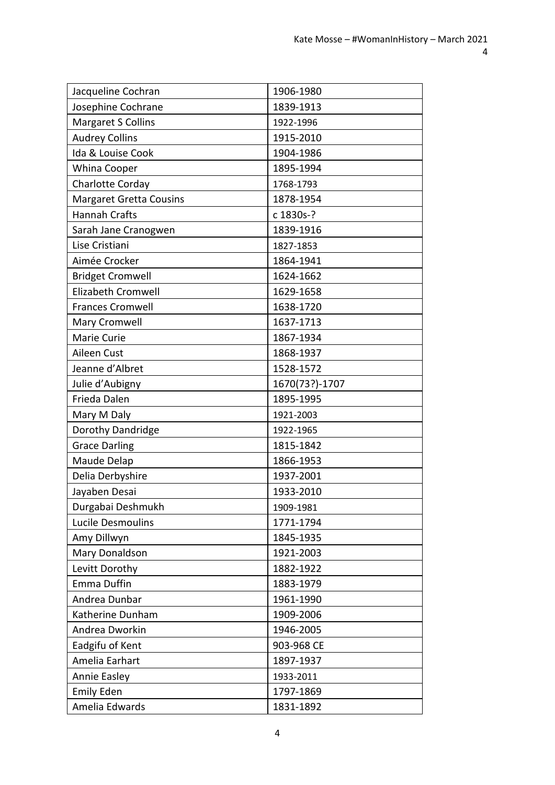| Jacqueline Cochran             | 1906-1980      |
|--------------------------------|----------------|
| Josephine Cochrane             | 1839-1913      |
| <b>Margaret S Collins</b>      | 1922-1996      |
| <b>Audrey Collins</b>          | 1915-2010      |
| Ida & Louise Cook              | 1904-1986      |
| Whina Cooper                   | 1895-1994      |
| Charlotte Corday               | 1768-1793      |
| <b>Margaret Gretta Cousins</b> | 1878-1954      |
| <b>Hannah Crafts</b>           | c 1830s-?      |
| Sarah Jane Cranogwen           | 1839-1916      |
| Lise Cristiani                 | 1827-1853      |
| Aimée Crocker                  | 1864-1941      |
| <b>Bridget Cromwell</b>        | 1624-1662      |
| <b>Elizabeth Cromwell</b>      | 1629-1658      |
| <b>Frances Cromwell</b>        | 1638-1720      |
| Mary Cromwell                  | 1637-1713      |
| Marie Curie                    | 1867-1934      |
| Aileen Cust                    | 1868-1937      |
| Jeanne d'Albret                | 1528-1572      |
| Julie d'Aubigny                | 1670(73?)-1707 |
| Frieda Dalen                   | 1895-1995      |
| Mary M Daly                    | 1921-2003      |
| Dorothy Dandridge              | 1922-1965      |
| <b>Grace Darling</b>           | 1815-1842      |
| Maude Delap                    | 1866-1953      |
| Delia Derbyshire               | 1937-2001      |
| Jayaben Desai                  | 1933-2010      |
| Durgabai Deshmukh              | 1909-1981      |
| Lucile Desmoulins              | 1771-1794      |
| Amy Dillwyn                    | 1845-1935      |
| Mary Donaldson                 | 1921-2003      |
| Levitt Dorothy                 | 1882-1922      |
| Emma Duffin                    | 1883-1979      |
| Andrea Dunbar                  | 1961-1990      |
| Katherine Dunham               | 1909-2006      |
| Andrea Dworkin                 | 1946-2005      |
| Eadgifu of Kent                | 903-968 CE     |
| Amelia Earhart                 | 1897-1937      |
| Annie Easley                   | 1933-2011      |
| <b>Emily Eden</b>              | 1797-1869      |
| Amelia Edwards                 | 1831-1892      |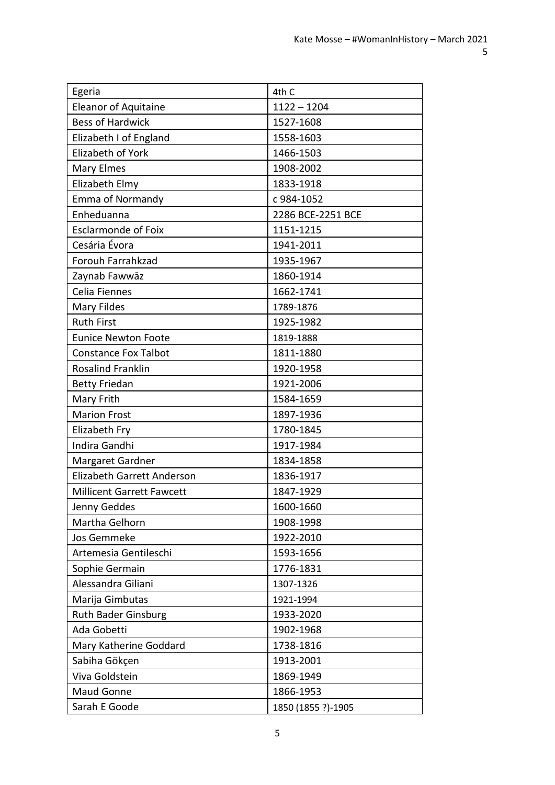| Egeria                            | 4th C              |
|-----------------------------------|--------------------|
| <b>Eleanor of Aquitaine</b>       | $1122 - 1204$      |
| <b>Bess of Hardwick</b>           | 1527-1608          |
| Elizabeth I of England            | 1558-1603          |
| Elizabeth of York                 | 1466-1503          |
| <b>Mary Elmes</b>                 | 1908-2002          |
| Elizabeth Elmy                    | 1833-1918          |
| <b>Emma of Normandy</b>           | c 984-1052         |
| Enheduanna                        | 2286 BCE-2251 BCE  |
| <b>Esclarmonde of Foix</b>        | 1151-1215          |
| Cesária Évora                     | 1941-2011          |
| Forouh Farrahkzad                 | 1935-1967          |
| Zaynab Fawwāz                     | 1860-1914          |
| Celia Fiennes                     | 1662-1741          |
| <b>Mary Fildes</b>                | 1789-1876          |
| <b>Ruth First</b>                 | 1925-1982          |
| <b>Eunice Newton Foote</b>        | 1819-1888          |
| <b>Constance Fox Talbot</b>       | 1811-1880          |
| <b>Rosalind Franklin</b>          | 1920-1958          |
| <b>Betty Friedan</b>              | 1921-2006          |
| Mary Frith                        | 1584-1659          |
| <b>Marion Frost</b>               | 1897-1936          |
| Elizabeth Fry                     | 1780-1845          |
| <b>Indira Gandhi</b>              | 1917-1984          |
| Margaret Gardner                  | 1834-1858          |
| <b>Elizabeth Garrett Anderson</b> | 1836-1917          |
| <b>Millicent Garrett Fawcett</b>  | 1847-1929          |
| Jenny Geddes                      | 1600-1660          |
| Martha Gelhorn                    | 1908-1998          |
| Jos Gemmeke                       | 1922-2010          |
| Artemesia Gentileschi             | 1593-1656          |
| Sophie Germain                    | 1776-1831          |
| Alessandra Giliani                | 1307-1326          |
| Marija Gimbutas                   | 1921-1994          |
| <b>Ruth Bader Ginsburg</b>        | 1933-2020          |
| Ada Gobetti                       | 1902-1968          |
| Mary Katherine Goddard            | 1738-1816          |
| Sabiha Gökçen                     | 1913-2001          |
| Viva Goldstein                    | 1869-1949          |
| Maud Gonne                        | 1866-1953          |
| Sarah E Goode                     | 1850 (1855 ?)-1905 |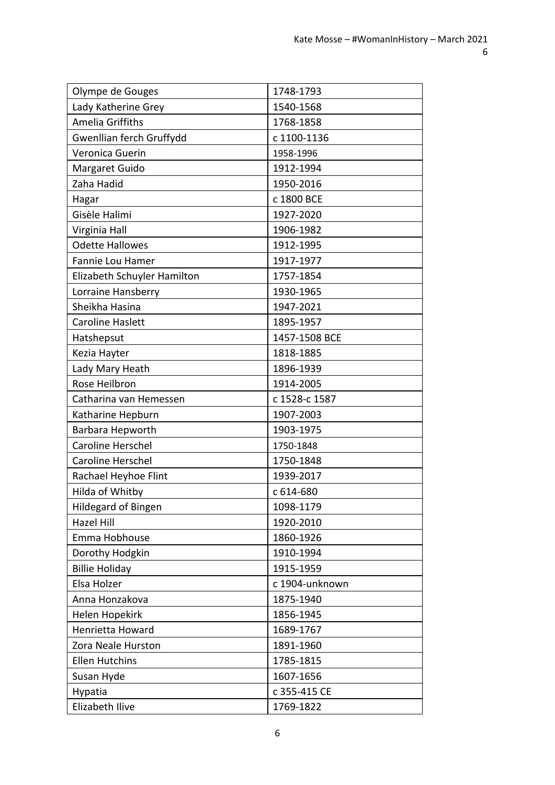| Olympe de Gouges            | 1748-1793      |
|-----------------------------|----------------|
| Lady Katherine Grey         | 1540-1568      |
| Amelia Griffiths            | 1768-1858      |
| Gwenllian ferch Gruffydd    | c 1100-1136    |
| Veronica Guerin             | 1958-1996      |
| Margaret Guido              | 1912-1994      |
| Zaha Hadid                  | 1950-2016      |
| Hagar                       | c 1800 BCE     |
| Gisèle Halimi               | 1927-2020      |
| Virginia Hall               | 1906-1982      |
| <b>Odette Hallowes</b>      | 1912-1995      |
| Fannie Lou Hamer            | 1917-1977      |
| Elizabeth Schuyler Hamilton | 1757-1854      |
| Lorraine Hansberry          | 1930-1965      |
| Sheikha Hasina              | 1947-2021      |
| <b>Caroline Haslett</b>     | 1895-1957      |
| Hatshepsut                  | 1457-1508 BCE  |
| Kezia Hayter                | 1818-1885      |
| Lady Mary Heath             | 1896-1939      |
| Rose Heilbron               | 1914-2005      |
| Catharina van Hemessen      | c 1528-c 1587  |
| Katharine Hepburn           | 1907-2003      |
| Barbara Hepworth            | 1903-1975      |
| Caroline Herschel           | 1750-1848      |
| <b>Caroline Herschel</b>    | 1750-1848      |
| Rachael Heyhoe Flint        | 1939-2017      |
| Hilda of Whitby             | c 614-680      |
| Hildegard of Bingen         | 1098-1179      |
| <b>Hazel Hill</b>           | 1920-2010      |
| Emma Hobhouse               | 1860-1926      |
| Dorothy Hodgkin             | 1910-1994      |
| <b>Billie Holiday</b>       | 1915-1959      |
| Elsa Holzer                 | c 1904-unknown |
| Anna Honzakova              | 1875-1940      |
| Helen Hopekirk              | 1856-1945      |
| Henrietta Howard            | 1689-1767      |
| Zora Neale Hurston          | 1891-1960      |
| <b>Ellen Hutchins</b>       | 1785-1815      |
| Susan Hyde                  | 1607-1656      |
| Hypatia                     | c 355-415 CE   |
| Elizabeth Ilive             | 1769-1822      |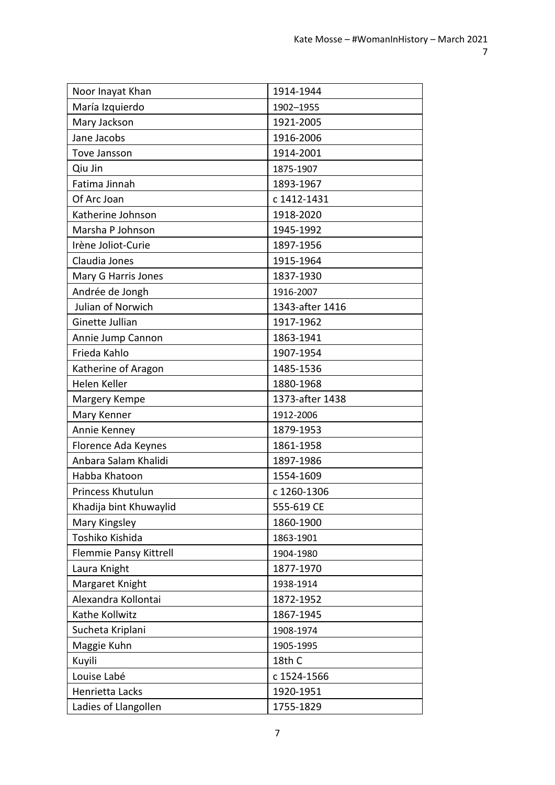| Noor Inayat Khan       | 1914-1944       |
|------------------------|-----------------|
| María Izquierdo        | 1902-1955       |
| Mary Jackson           | 1921-2005       |
| Jane Jacobs            | 1916-2006       |
| <b>Tove Jansson</b>    | 1914-2001       |
| Qiu Jin                | 1875-1907       |
| Fatima Jinnah          | 1893-1967       |
| Of Arc Joan            | c 1412-1431     |
| Katherine Johnson      | 1918-2020       |
| Marsha P Johnson       | 1945-1992       |
| Irène Joliot-Curie     | 1897-1956       |
| Claudia Jones          | 1915-1964       |
| Mary G Harris Jones    | 1837-1930       |
| Andrée de Jongh        | 1916-2007       |
| Julian of Norwich      | 1343-after 1416 |
| Ginette Jullian        | 1917-1962       |
| Annie Jump Cannon      | 1863-1941       |
| Frieda Kahlo           | 1907-1954       |
| Katherine of Aragon    | 1485-1536       |
| Helen Keller           | 1880-1968       |
| Margery Kempe          | 1373-after 1438 |
| Mary Kenner            | 1912-2006       |
| Annie Kenney           | 1879-1953       |
| Florence Ada Keynes    | 1861-1958       |
| Anbara Salam Khalidi   | 1897-1986       |
| Habba Khatoon          | 1554-1609       |
| Princess Khutulun      | c 1260-1306     |
| Khadija bint Khuwaylid | 555-619 CE      |
| Mary Kingsley          | 1860-1900       |
| Toshiko Kishida        | 1863-1901       |
| Flemmie Pansy Kittrell | 1904-1980       |
| Laura Knight           | 1877-1970       |
| Margaret Knight        | 1938-1914       |
| Alexandra Kollontai    | 1872-1952       |
| Kathe Kollwitz         | 1867-1945       |
| Sucheta Kriplani       | 1908-1974       |
| Maggie Kuhn            | 1905-1995       |
| Kuyili                 | 18th C          |
| Louise Labé            | c 1524-1566     |
| Henrietta Lacks        | 1920-1951       |
| Ladies of Llangollen   | 1755-1829       |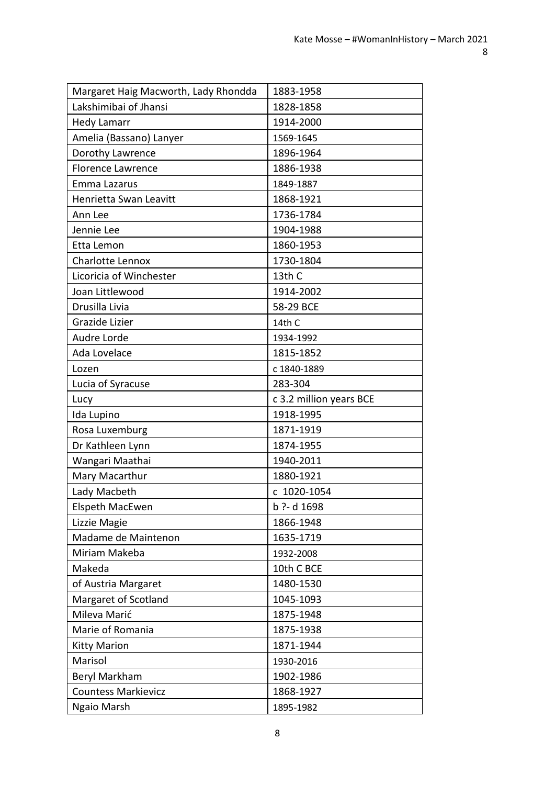| Margaret Haig Macworth, Lady Rhondda | 1883-1958               |
|--------------------------------------|-------------------------|
| Lakshimibai of Jhansi                | 1828-1858               |
| <b>Hedy Lamarr</b>                   | 1914-2000               |
| Amelia (Bassano) Lanyer              | 1569-1645               |
| Dorothy Lawrence                     | 1896-1964               |
| <b>Florence Lawrence</b>             | 1886-1938               |
| Emma Lazarus                         | 1849-1887               |
| <b>Henrietta Swan Leavitt</b>        | 1868-1921               |
| Ann Lee                              | 1736-1784               |
| Jennie Lee                           | 1904-1988               |
| Etta Lemon                           | 1860-1953               |
| Charlotte Lennox                     | 1730-1804               |
| Licoricia of Winchester              | 13th C                  |
| Joan Littlewood                      | 1914-2002               |
| Drusilla Livia                       | 58-29 BCE               |
| Grazide Lizier                       | 14th C                  |
| Audre Lorde                          | 1934-1992               |
| Ada Lovelace                         | 1815-1852               |
| Lozen                                | c 1840-1889             |
| Lucia of Syracuse                    | 283-304                 |
| Lucy                                 | c 3.2 million years BCE |
| Ida Lupino                           | 1918-1995               |
| Rosa Luxemburg                       | 1871-1919               |
| Dr Kathleen Lynn                     | 1874-1955               |
| Wangari Maathai                      | 1940-2011               |
| Mary Macarthur                       | 1880-1921               |
| Lady Macbeth                         | c 1020-1054             |
| Elspeth MacEwen                      | b ?- d 1698             |
| Lizzie Magie                         | 1866-1948               |
| Madame de Maintenon                  | 1635-1719               |
| Miriam Makeba                        | 1932-2008               |
| Makeda                               | 10th C BCE              |
| of Austria Margaret                  | 1480-1530               |
| Margaret of Scotland                 | 1045-1093               |
| Mileva Marić                         | 1875-1948               |
| Marie of Romania                     | 1875-1938               |
| <b>Kitty Marion</b>                  | 1871-1944               |
| Marisol                              | 1930-2016               |
| Beryl Markham                        | 1902-1986               |
| <b>Countess Markievicz</b>           | 1868-1927               |
| Ngaio Marsh                          | 1895-1982               |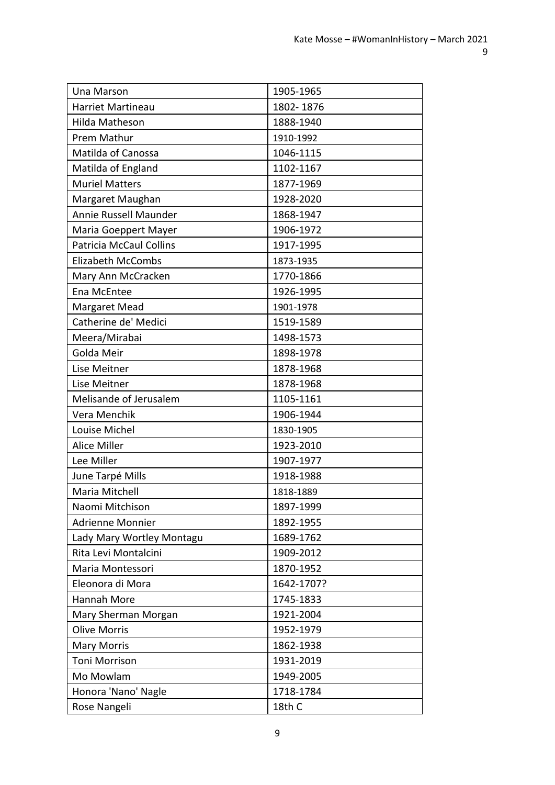| Una Marson                     | 1905-1965  |
|--------------------------------|------------|
| <b>Harriet Martineau</b>       | 1802-1876  |
| Hilda Matheson                 | 1888-1940  |
| Prem Mathur                    | 1910-1992  |
| Matilda of Canossa             | 1046-1115  |
| Matilda of England             | 1102-1167  |
| <b>Muriel Matters</b>          | 1877-1969  |
| Margaret Maughan               | 1928-2020  |
| Annie Russell Maunder          | 1868-1947  |
| Maria Goeppert Mayer           | 1906-1972  |
| <b>Patricia McCaul Collins</b> | 1917-1995  |
| <b>Elizabeth McCombs</b>       | 1873-1935  |
| Mary Ann McCracken             | 1770-1866  |
| Ena McEntee                    | 1926-1995  |
| Margaret Mead                  | 1901-1978  |
| Catherine de' Medici           | 1519-1589  |
| Meera/Mirabai                  | 1498-1573  |
| Golda Meir                     | 1898-1978  |
| Lise Meitner                   | 1878-1968  |
| Lise Meitner                   | 1878-1968  |
| Melisande of Jerusalem         | 1105-1161  |
| Vera Menchik                   | 1906-1944  |
| Louise Michel                  | 1830-1905  |
| <b>Alice Miller</b>            | 1923-2010  |
| Lee Miller                     | 1907-1977  |
| June Tarpé Mills               | 1918-1988  |
| Maria Mitchell                 | 1818-1889  |
| Naomi Mitchison                | 1897-1999  |
| <b>Adrienne Monnier</b>        | 1892-1955  |
| Lady Mary Wortley Montagu      | 1689-1762  |
| Rita Levi Montalcini           | 1909-2012  |
| Maria Montessori               | 1870-1952  |
| Eleonora di Mora               | 1642-1707? |
| Hannah More                    | 1745-1833  |
| Mary Sherman Morgan            | 1921-2004  |
| <b>Olive Morris</b>            | 1952-1979  |
| <b>Mary Morris</b>             | 1862-1938  |
| Toni Morrison                  | 1931-2019  |
| Mo Mowlam                      | 1949-2005  |
| Honora 'Nano' Nagle            | 1718-1784  |
| Rose Nangeli                   | 18th C     |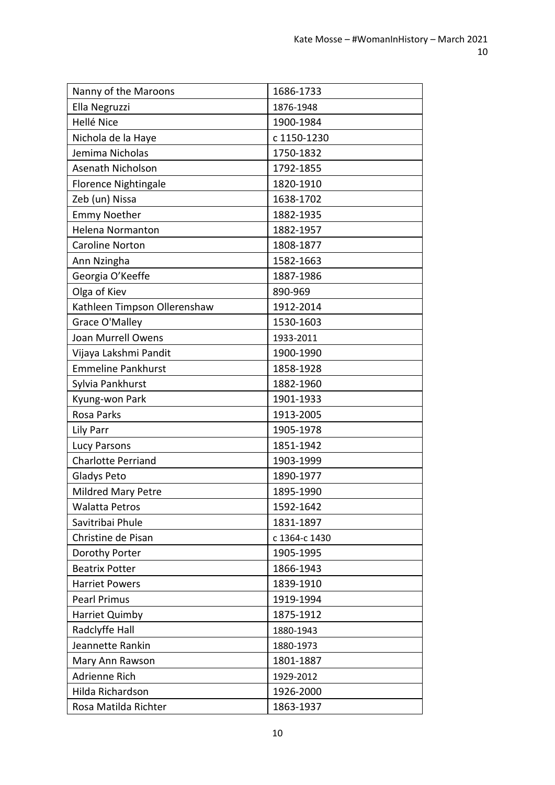| Nanny of the Maroons         | 1686-1733     |
|------------------------------|---------------|
| Ella Negruzzi                | 1876-1948     |
| Hellé Nice                   | 1900-1984     |
| Nichola de la Haye           | c 1150-1230   |
| Jemima Nicholas              | 1750-1832     |
| Asenath Nicholson            | 1792-1855     |
| <b>Florence Nightingale</b>  | 1820-1910     |
| Zeb (un) Nissa               | 1638-1702     |
| <b>Emmy Noether</b>          | 1882-1935     |
| <b>Helena Normanton</b>      | 1882-1957     |
| <b>Caroline Norton</b>       | 1808-1877     |
| Ann Nzingha                  | 1582-1663     |
| Georgia O'Keeffe             | 1887-1986     |
| Olga of Kiev                 | 890-969       |
| Kathleen Timpson Ollerenshaw | 1912-2014     |
| Grace O'Malley               | 1530-1603     |
| Joan Murrell Owens           | 1933-2011     |
| Vijaya Lakshmi Pandit        | 1900-1990     |
| <b>Emmeline Pankhurst</b>    | 1858-1928     |
| Sylvia Pankhurst             | 1882-1960     |
| Kyung-won Park               | 1901-1933     |
| <b>Rosa Parks</b>            | 1913-2005     |
| Lily Parr                    | 1905-1978     |
| Lucy Parsons                 | 1851-1942     |
| <b>Charlotte Perriand</b>    | 1903-1999     |
| Gladys Peto                  | 1890-1977     |
| Mildred Mary Petre           | 1895-1990     |
| <b>Walatta Petros</b>        | 1592-1642     |
| Savitribai Phule             | 1831-1897     |
| Christine de Pisan           | c 1364-c 1430 |
| Dorothy Porter               | 1905-1995     |
| <b>Beatrix Potter</b>        | 1866-1943     |
| <b>Harriet Powers</b>        | 1839-1910     |
| <b>Pearl Primus</b>          | 1919-1994     |
| Harriet Quimby               | 1875-1912     |
| Radclyffe Hall               | 1880-1943     |
| Jeannette Rankin             | 1880-1973     |
| Mary Ann Rawson              | 1801-1887     |
| Adrienne Rich                | 1929-2012     |
| Hilda Richardson             | 1926-2000     |
| Rosa Matilda Richter         | 1863-1937     |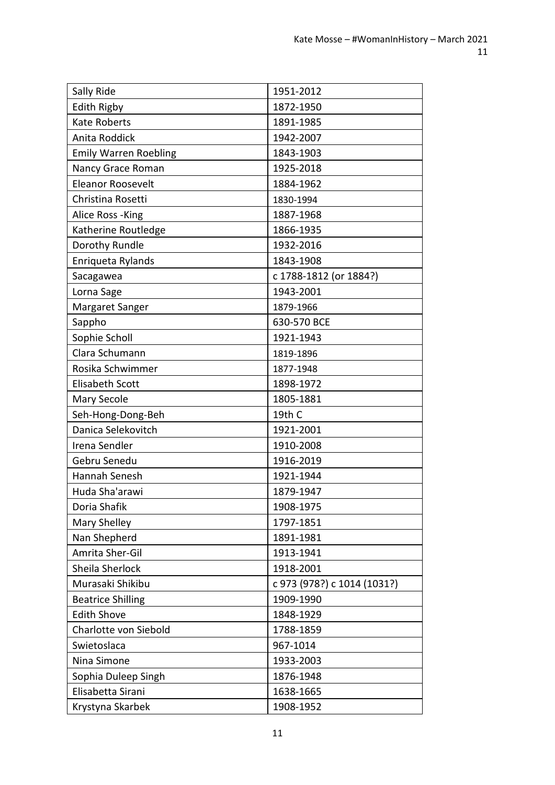| Sally Ride                   | 1951-2012                   |
|------------------------------|-----------------------------|
| <b>Edith Rigby</b>           | 1872-1950                   |
| <b>Kate Roberts</b>          | 1891-1985                   |
| Anita Roddick                | 1942-2007                   |
| <b>Emily Warren Roebling</b> | 1843-1903                   |
| Nancy Grace Roman            | 1925-2018                   |
| <b>Eleanor Roosevelt</b>     | 1884-1962                   |
| Christina Rosetti            | 1830-1994                   |
| Alice Ross - King            | 1887-1968                   |
| Katherine Routledge          | 1866-1935                   |
| Dorothy Rundle               | 1932-2016                   |
| Enriqueta Rylands            | 1843-1908                   |
| Sacagawea                    | c 1788-1812 (or 1884?)      |
| Lorna Sage                   | 1943-2001                   |
| Margaret Sanger              | 1879-1966                   |
| Sappho                       | 630-570 BCE                 |
| Sophie Scholl                | 1921-1943                   |
| Clara Schumann               | 1819-1896                   |
| Rosika Schwimmer             | 1877-1948                   |
| <b>Elisabeth Scott</b>       | 1898-1972                   |
| Mary Secole                  | 1805-1881                   |
| Seh-Hong-Dong-Beh            | 19th C                      |
| Danica Selekovitch           | 1921-2001                   |
| Irena Sendler                | 1910-2008                   |
| Gebru Senedu                 | 1916-2019                   |
| Hannah Senesh                | 1921-1944                   |
| Huda Sha'arawi               | 1879-1947                   |
| Doria Shafik                 | 1908-1975                   |
| Mary Shelley                 | 1797-1851                   |
| Nan Shepherd                 | 1891-1981                   |
| Amrita Sher-Gil              | 1913-1941                   |
| Sheila Sherlock              | 1918-2001                   |
| Murasaki Shikibu             | c 973 (978?) c 1014 (1031?) |
| <b>Beatrice Shilling</b>     | 1909-1990                   |
| <b>Edith Shove</b>           | 1848-1929                   |
| Charlotte von Siebold        | 1788-1859                   |
| Swietoslaca                  | 967-1014                    |
| Nina Simone                  | 1933-2003                   |
| Sophia Duleep Singh          | 1876-1948                   |
| Elisabetta Sirani            | 1638-1665                   |
| Krystyna Skarbek             | 1908-1952                   |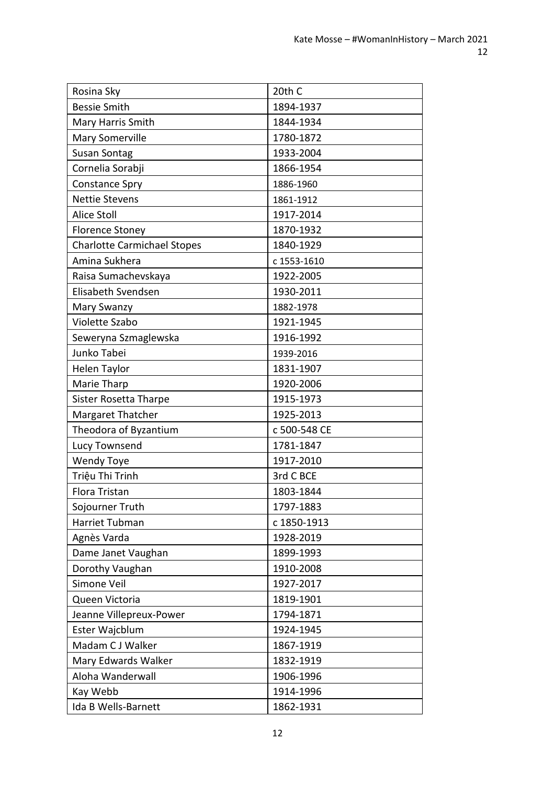| Rosina Sky                         | 20th C       |
|------------------------------------|--------------|
| <b>Bessie Smith</b>                | 1894-1937    |
| Mary Harris Smith                  | 1844-1934    |
| <b>Mary Somerville</b>             | 1780-1872    |
| <b>Susan Sontag</b>                | 1933-2004    |
| Cornelia Sorabji                   | 1866-1954    |
| <b>Constance Spry</b>              | 1886-1960    |
| <b>Nettie Stevens</b>              | 1861-1912    |
| <b>Alice Stoll</b>                 | 1917-2014    |
| <b>Florence Stoney</b>             | 1870-1932    |
| <b>Charlotte Carmichael Stopes</b> | 1840-1929    |
| Amina Sukhera                      | c 1553-1610  |
| Raisa Sumachevskaya                | 1922-2005    |
| Elisabeth Svendsen                 | 1930-2011    |
| Mary Swanzy                        | 1882-1978    |
| Violette Szabo                     | 1921-1945    |
| Seweryna Szmaglewska               | 1916-1992    |
| Junko Tabei                        | 1939-2016    |
| Helen Taylor                       | 1831-1907    |
| Marie Tharp                        | 1920-2006    |
| Sister Rosetta Tharpe              | 1915-1973    |
| Margaret Thatcher                  | 1925-2013    |
| Theodora of Byzantium              | c 500-548 CE |
| Lucy Townsend                      | 1781-1847    |
| <b>Wendy Toye</b>                  | 1917-2010    |
| Triệu Thi Trinh                    | 3rd C BCE    |
| Flora Tristan                      | 1803-1844    |
| Sojourner Truth                    | 1797-1883    |
| Harriet Tubman                     | c 1850-1913  |
| Agnès Varda                        | 1928-2019    |
| Dame Janet Vaughan                 | 1899-1993    |
| Dorothy Vaughan                    | 1910-2008    |
| Simone Veil                        | 1927-2017    |
| Queen Victoria                     | 1819-1901    |
| Jeanne Villepreux-Power            | 1794-1871    |
| Ester Wajcblum                     | 1924-1945    |
| Madam C J Walker                   | 1867-1919    |
| Mary Edwards Walker                | 1832-1919    |
| Aloha Wanderwall                   | 1906-1996    |
| Kay Webb                           | 1914-1996    |
| Ida B Wells-Barnett                | 1862-1931    |